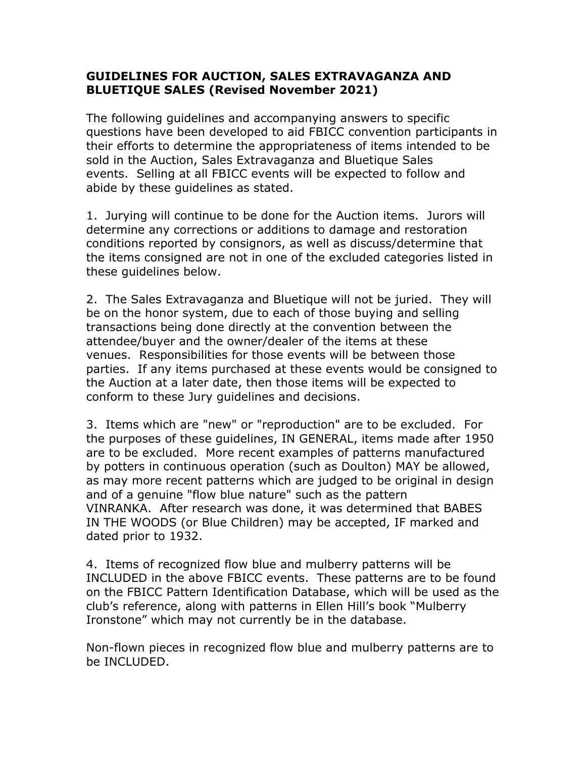## **GUIDELINES FOR AUCTION, SALES EXTRAVAGANZA AND BLUETIQUE SALES (Revised November 2021)**

The following guidelines and accompanying answers to specific questions have been developed to aid FBICC convention participants in their efforts to determine the appropriateness of items intended to be sold in the Auction, Sales Extravaganza and Bluetique Sales events. Selling at all FBICC events will be expected to follow and abide by these guidelines as stated.

1. Jurying will continue to be done for the Auction items. Jurors will determine any corrections or additions to damage and restoration conditions reported by consignors, as well as discuss/determine that the items consigned are not in one of the excluded categories listed in these guidelines below.

2. The Sales Extravaganza and Bluetique will not be juried. They will be on the honor system, due to each of those buying and selling transactions being done directly at the convention between the attendee/buyer and the owner/dealer of the items at these venues. Responsibilities for those events will be between those parties. If any items purchased at these events would be consigned to the Auction at a later date, then those items will be expected to conform to these Jury guidelines and decisions.

3. Items which are "new" or "reproduction" are to be excluded. For the purposes of these guidelines, IN GENERAL, items made after 1950 are to be excluded. More recent examples of patterns manufactured by potters in continuous operation (such as Doulton) MAY be allowed, as may more recent patterns which are judged to be original in design and of a genuine "flow blue nature" such as the pattern VINRANKA. After research was done, it was determined that BABES IN THE WOODS (or Blue Children) may be accepted, IF marked and dated prior to 1932.

4. Items of recognized flow blue and mulberry patterns will be INCLUDED in the above FBICC events. These patterns are to be found on the FBICC Pattern Identification Database, which will be used as the club's reference, along with patterns in Ellen Hill's book "Mulberry Ironstone" which may not currently be in the database.

Non-flown pieces in recognized flow blue and mulberry patterns are to be INCLUDED.